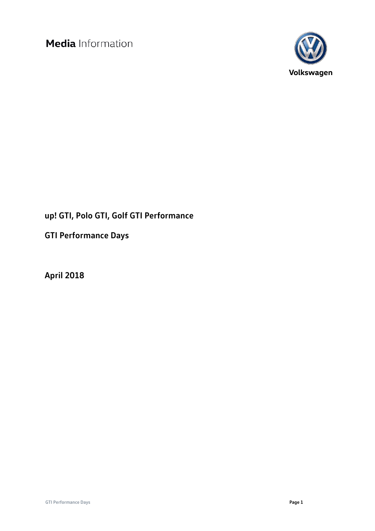

# **up! GTI, Polo GTI, Golf GTI Performance**

**GTI Performance Days**

**April 2018**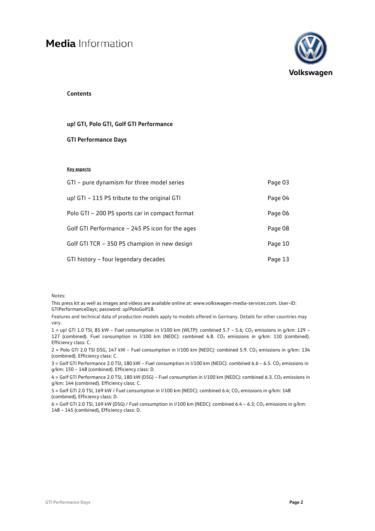

#### **Contents**

#### **up! GTI, Polo GTI, Golf GTI Performance**

#### **GTI Performance Days**

#### **Key aspects**

| GTI - pure dynamism for three model series      | Page 03 |
|-------------------------------------------------|---------|
| up! GTI - 115 PS tribute to the original GTI    | Page 04 |
| Polo GTI - 200 PS sports car in compact format  | Page 06 |
| Golf GTI Performance - 245 PS icon for the ages | Page 08 |
| Golf GTI TCR - 350 PS champion in new design    | Page 10 |
| GTI history - four legendary decades            | Page 13 |

Notes:

This press kit as well as images and videos are available online at: ww[w.volkswagen-media-services.com.](http://www.volkswagen-media-services.com/) User-ID: GTIPerformanceDays; password: up!PoloGolf18.

Features and technical data of production models apply to models offered in Germany. Details for other countries may vary.

1 = up! GTI 1.0 TSI, 85 kW - Fuel consumption in I/100 km (WLTP): combined 5.7 - 5.6; CO<sub>2</sub> emissions in g/km: 129 -127 (combined). Fuel consumption in I/100 km (NEDC): combined 4.8. CO<sub>2</sub> emissions in g/km: 110 (combined). Efficiency class: C.

2 = Polo GTI 2.0 TSI DSG, 147 kW - Fuel consumption in I/100 km (NEDC): combined 5.9. CO<sub>2</sub> emissions in g/km: 134 (combined). Efficiency class: C.

3 = Golf GTI Performance 2.0 TSI, 180 kW - Fuel consumption in I/100 km (NEDC): combined 6.6 - 6.5. CO<sub>2</sub> emissions in g/km: 150 – 148 (combined). Efficiency class: D.

4 = Golf GTI Performance 2.0 TSI, 180 kW (DSG) – Fuel consumption in I/100 km (NEDC); combined 6.3. CO<sub>2</sub> emissions in g/km: 144 (combined). Efficiency class: C.

5 = Golf GTI 2.0 TSI, 169 kW / Fuel consumption in I/100 km (NEDC): combined 6.4; CO<sub>2</sub> emissions in g/km: 148 (combined), Efficiency class: D.

 $6 =$  Golf GTI 2.0 TSI, 169 kW (DSG) / Fuel consumption in I/100 km (NEDC): combined 6.4 – 6.3; CO<sub>2</sub> emissions in g/km: 148 – 145 (combined), Efficiency class: D.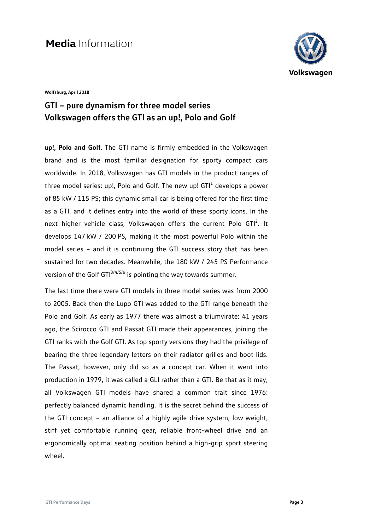

**Wolfsburg, April 2018**

## **GTI – pure dynamism for three model series Volkswagen offers the GTI as an up!, Polo and Golf**

**up!, Polo and Golf.** The GTI name is firmly embedded in the Volkswagen brand and is the most familiar designation for sporty compact cars worldwide. In 2018, Volkswagen has GTI models in the product ranges of three model series: up!, Polo and Golf. The new up!  $GTI<sup>1</sup>$  develops a power of 85 kW / 115 PS; this dynamic small car is being offered for the first time as a GTI, and it defines entry into the world of these sporty icons. In the next higher vehicle class, Volkswagen offers the current Polo GTI<sup>2</sup>. It develops 147 kW / 200 PS, making it the most powerful Polo within the model series – and it is continuing the GTI success story that has been sustained for two decades. Meanwhile, the 180 kW / 245 PS Performance version of the Golf GTI $3/4/5/6$  is pointing the way towards summer.

The last time there were GTI models in three model series was from 2000 to 2005. Back then the Lupo GTI was added to the GTI range beneath the Polo and Golf. As early as 1977 there was almost a triumvirate: 41 years ago, the Scirocco GTI and Passat GTI made their appearances, joining the GTI ranks with the Golf GTI. As top sporty versions they had the privilege of bearing the three legendary letters on their radiator grilles and boot lids. The Passat, however, only did so as a concept car. When it went into production in 1979, it was called a GLI rather than a GTI. Be that as it may, all Volkswagen GTI models have shared a common trait since 1976: perfectly balanced dynamic handling. It is the secret behind the success of the GTI concept – an alliance of a highly agile drive system, low weight, stiff yet comfortable running gear, reliable front-wheel drive and an ergonomically optimal seating position behind a high-grip sport steering wheel.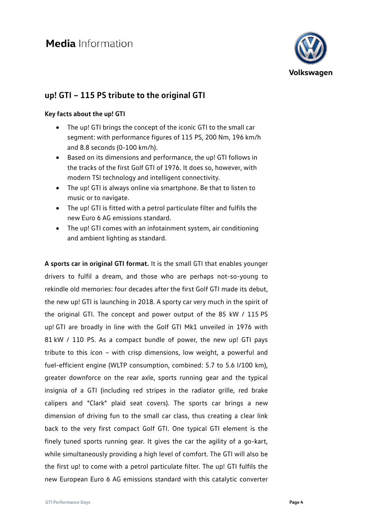

## **up! GTI – 115 PS tribute to the original GTI**

#### **Key facts about the up! GTI**

- The up! GTI brings the concept of the iconic GTI to the small car segment: with performance figures of 115 PS, 200 Nm, 196 km/h and 8.8 seconds (0-100 km/h).
- Based on its dimensions and performance, the up! GTI follows in the tracks of the first Golf GTI of 1976. It does so, however, with modern TSI technology and intelligent connectivity.
- The up! GTI is always online via smartphone. Be that to listen to music or to navigate.
- The up! GTI is fitted with a petrol particulate filter and fulfils the new Euro 6 AG emissions standard.
- The up! GTI comes with an infotainment system, air conditioning and ambient lighting as standard.

**A sports car in original GTI format.** It is the small GTI that enables younger drivers to fulfil a dream, and those who are perhaps not-so-young to rekindle old memories: four decades after the first Golf GTI made its debut, the new up! GTI is launching in 2018. A sporty car very much in the spirit of the original GTI. The concept and power output of the 85 kW / 115 PS up! GTI are broadly in line with the Golf GTI Mk1 unveiled in 1976 with 81 kW / 110 PS. As a compact bundle of power, the new up! GTI pays tribute to this icon – with crisp dimensions, low weight, a powerful and fuel-efficient engine (WLTP consumption, combined: 5.7 to 5.6 l/100 km), greater downforce on the rear axle, sports running gear and the typical insignia of a GTI (including red stripes in the radiator grille, red brake calipers and "Clark" plaid seat covers). The sports car brings a new dimension of driving fun to the small car class, thus creating a clear link back to the very first compact Golf GTI. One typical GTI element is the finely tuned sports running gear. It gives the car the agility of a go-kart, while simultaneously providing a high level of comfort. The GTI will also be the first up! to come with a petrol particulate filter. The up! GTI fulfils the new European Euro 6 AG emissions standard with this catalytic converter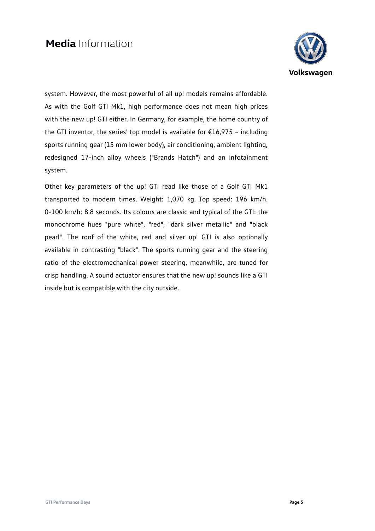

system. However, the most powerful of all up! models remains affordable. As with the Golf GTI Mk1, high performance does not mean high prices with the new up! GTI either. In Germany, for example, the home country of the GTI inventor, the series' top model is available for  $£16,975$  - including sports running gear (15 mm lower body), air conditioning, ambient lighting, redesigned 17-inch alloy wheels ("Brands Hatch") and an infotainment system.

Other key parameters of the up! GTI read like those of a Golf GTI Mk1 transported to modern times. Weight: 1,070 kg. Top speed: 196 km/h. 0-100 km/h: 8.8 seconds. Its colours are classic and typical of the GTI: the monochrome hues "pure white", "red", "dark silver metallic" and "black pearl". The roof of the white, red and silver up! GTI is also optionally available in contrasting "black". The sports running gear and the steering ratio of the electromechanical power steering, meanwhile, are tuned for crisp handling. A sound actuator ensures that the new up! sounds like a GTI inside but is compatible with the city outside.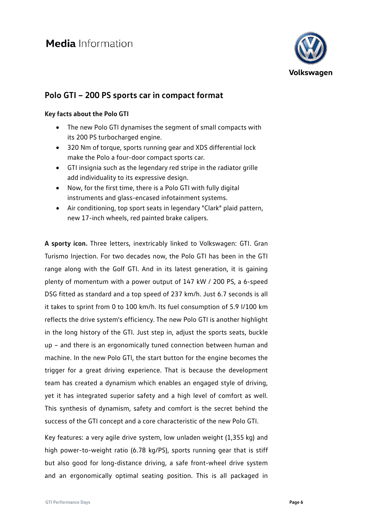

## **Polo GTI – 200 PS sports car in compact format**

#### **Key facts about the Polo GTI**

- The new Polo GTI dynamises the segment of small compacts with its 200 PS turbocharged engine.
- 320 Nm of torque, sports running gear and XDS differential lock make the Polo a four-door compact sports car.
- GTI insignia such as the legendary red stripe in the radiator grille add individuality to its expressive design.
- Now, for the first time, there is a Polo GTI with fully digital instruments and glass-encased infotainment systems.
- Air conditioning, top sport seats in legendary "Clark" plaid pattern, new 17-inch wheels, red painted brake calipers.

**A sporty icon.** Three letters, inextricably linked to Volkswagen: GTI. Gran Turismo Injection. For two decades now, the Polo GTI has been in the GTI range along with the Golf GTI. And in its latest generation, it is gaining plenty of momentum with a power output of 147 kW / 200 PS, a 6-speed DSG fitted as standard and a top speed of 237 km/h. Just 6.7 seconds is all it takes to sprint from 0 to 100 km/h. Its fuel consumption of 5.9 l/100 km reflects the drive system's efficiency. The new Polo GTI is another highlight in the long history of the GTI. Just step in, adjust the sports seats, buckle up – and there is an ergonomically tuned connection between human and machine. In the new Polo GTI, the start button for the engine becomes the trigger for a great driving experience. That is because the development team has created a dynamism which enables an engaged style of driving, yet it has integrated superior safety and a high level of comfort as well. This synthesis of dynamism, safety and comfort is the secret behind the success of the GTI concept and a core characteristic of the new Polo GTI.

Key features: a very agile drive system, low unladen weight (1,355 kg) and high power-to-weight ratio (6.78 kg/PS), sports running gear that is stiff but also good for long-distance driving, a safe front-wheel drive system and an ergonomically optimal seating position. This is all packaged in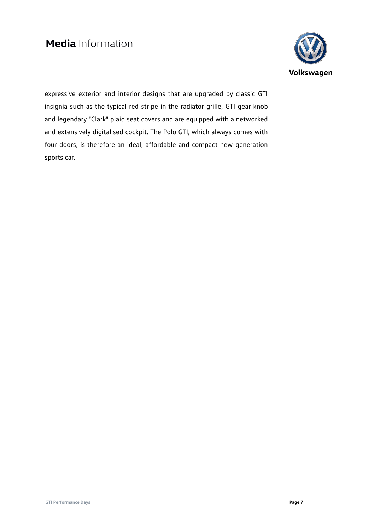

expressive exterior and interior designs that are upgraded by classic GTI insignia such as the typical red stripe in the radiator grille, GTI gear knob and legendary "Clark" plaid seat covers and are equipped with a networked and extensively digitalised cockpit. The Polo GTI, which always comes with four doors, is therefore an ideal, affordable and compact new-generation sports car.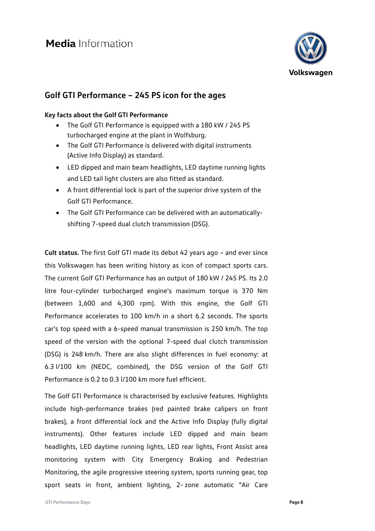

### **Golf GTI Performance – 245 PS icon for the ages**

#### **Key facts about the Golf GTI Performance**

- The Golf GTI Performance is equipped with a 180 kW / 245 PS turbocharged engine at the plant in Wolfsburg.
- The Golf GTI Performance is delivered with digital instruments (Active Info Display) as standard.
- LED dipped and main beam headlights, LED daytime running lights and LED tail light clusters are also fitted as standard.
- A front differential lock is part of the superior drive system of the Golf GTI Performance.
- The Golf GTI Performance can be delivered with an automaticallyshifting 7-speed dual clutch transmission (DSG).

**Cult status.** The first Golf GTI made its debut 42 years ago – and ever since this Volkswagen has been writing history as icon of compact sports cars. The current Golf GTI Performance has an output of 180 kW / 245 PS. Its 2.0 litre four-cylinder turbocharged engine's maximum torque is 370 Nm (between 1,600 and 4,300 rpm). With this engine, the Golf GTI Performance accelerates to 100 km/h in a short 6.2 seconds. The sports car's top speed with a 6-speed manual transmission is 250 km/h. The top speed of the version with the optional 7-speed dual clutch transmission (DSG) is 248 km/h. There are also slight differences in fuel economy: at 6.3 l/100 km (NEDC, combined), the DSG version of the Golf GTI Performance is 0.2 to 0.3 l/100 km more fuel efficient.

The Golf GTI Performance is characterised by exclusive features. Highlights include high-performance brakes (red painted brake calipers on front brakes), a front differential lock and the Active Info Display (fully digital instruments). Other features include LED dipped and main beam headlights, LED daytime running lights, LED rear lights, Front Assist area monitoring system with City Emergency Braking and Pedestrian Monitoring, the agile progressive steering system, sports running gear, top sport seats in front, ambient lighting, 2- zone automatic "Air Care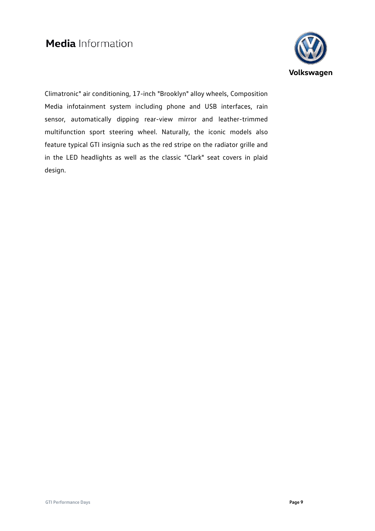

Climatronic" air conditioning, 17-inch "Brooklyn" alloy wheels, Composition Media infotainment system including phone and USB interfaces, rain sensor, automatically dipping rear-view mirror and leather-trimmed multifunction sport steering wheel. Naturally, the iconic models also feature typical GTI insignia such as the red stripe on the radiator grille and in the LED headlights as well as the classic "Clark" seat covers in plaid design.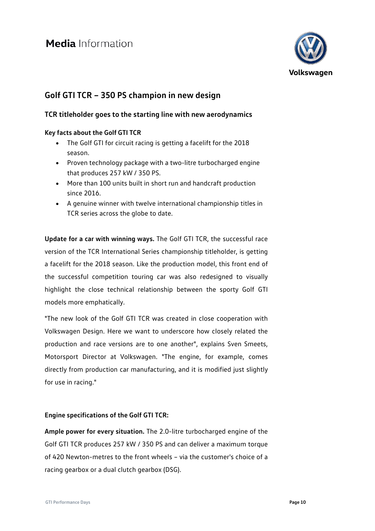

## **Golf GTI TCR – 350 PS champion in new design**

### **TCR titleholder goes to the starting line with new aerodynamics**

### **Key facts about the Golf GTI TCR**

- The Golf GTI for circuit racing is getting a facelift for the 2018 season.
- Proven technology package with a two-litre turbocharged engine that produces 257 kW / 350 PS.
- More than 100 units built in short run and handcraft production since 2016.
- A genuine winner with twelve international championship titles in TCR series across the globe to date.

**Update for a car with winning ways.** The Golf GTI TCR, the successful race version of the TCR International Series championship titleholder, is getting a facelift for the 2018 season. Like the production model, this front end of the successful competition touring car was also redesigned to visually highlight the close technical relationship between the sporty Golf GTI models more emphatically.

"The new look of the Golf GTI TCR was created in close cooperation with Volkswagen Design. Here we want to underscore how closely related the production and race versions are to one another", explains Sven Smeets, Motorsport Director at Volkswagen. "The engine, for example, comes directly from production car manufacturing, and it is modified just slightly for use in racing."

### **Engine specifications of the Golf GTI TCR:**

**Ample power for every situation.** The 2.0-litre turbocharged engine of the Golf GTI TCR produces 257 kW / 350 PS and can deliver a maximum torque of 420 Newton-metres to the front wheels – via the customer's choice of a racing gearbox or a dual clutch gearbox (DSG).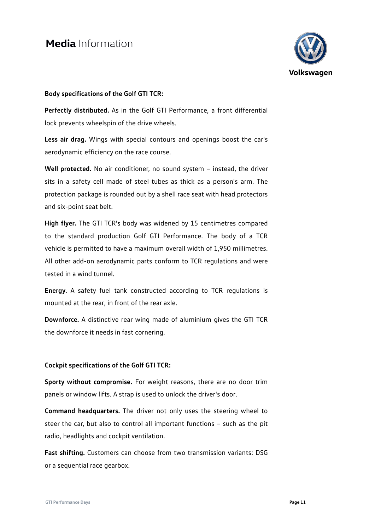

#### **Body specifications of the Golf GTI TCR:**

**Perfectly distributed.** As in the Golf GTI Performance, a front differential lock prevents wheelspin of the drive wheels.

**Less air drag.** Wings with special contours and openings boost the car's aerodynamic efficiency on the race course.

Well protected. No air conditioner, no sound system - instead, the driver sits in a safety cell made of steel tubes as thick as a person's arm. The protection package is rounded out by a shell race seat with head protectors and six-point seat belt.

**High flyer.** The GTI TCR's body was widened by 15 centimetres compared to the standard production Golf GTI Performance. The body of a TCR vehicle is permitted to have a maximum overall width of 1,950 millimetres. All other add-on aerodynamic parts conform to TCR regulations and were tested in a wind tunnel.

**Energy.** A safety fuel tank constructed according to TCR regulations is mounted at the rear, in front of the rear axle.

**Downforce.** A distinctive rear wing made of aluminium gives the GTI TCR the downforce it needs in fast cornering.

#### **Cockpit specifications of the Golf GTI TCR:**

**Sporty without compromise.** For weight reasons, there are no door trim panels or window lifts. A strap is used to unlock the driver's door.

**Command headquarters.** The driver not only uses the steering wheel to steer the car, but also to control all important functions – such as the pit radio, headlights and cockpit ventilation.

**Fast shifting.** Customers can choose from two transmission variants: DSG or a sequential race gearbox.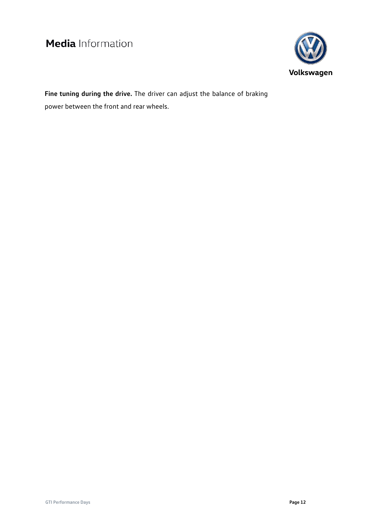

**Fine tuning during the drive.** The driver can adjust the balance of braking power between the front and rear wheels.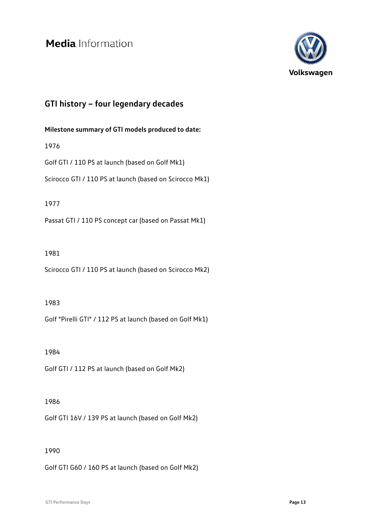

## **GTI history – four legendary decades**

### **Milestone summary of GTI models produced to date:**

1976

Golf GTI / 110 PS at launch (based on Golf Mk1)

Scirocco GTI / 110 PS at launch (based on Scirocco Mk1)

#### 1977

Passat GTI / 110 PS concept car (based on Passat Mk1)

#### 1981

Scirocco GTI / 110 PS at launch (based on Scirocco Mk2)

#### 1983

Golf "Pirelli GTI" / 112 PS at launch (based on Golf Mk1)

#### 1984

Golf GTI / 112 PS at launch (based on Golf Mk2)

#### 1986

Golf GTI 16V / 139 PS at launch (based on Golf Mk2)

#### 1990

Golf GTI G60 / 160 PS at launch (based on Golf Mk2)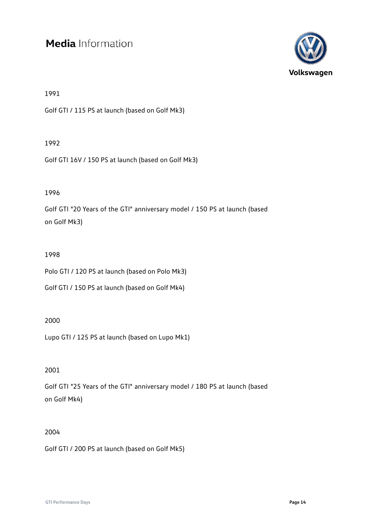

1991

Golf GTI / 115 PS at launch (based on Golf Mk3)

#### 1992

Golf GTI 16V / 150 PS at launch (based on Golf Mk3)

### 1996

Golf GTI "20 Years of the GTI" anniversary model / 150 PS at launch (based on Golf Mk3)

### 1998

Polo GTI / 120 PS at launch (based on Polo Mk3)

Golf GTI / 150 PS at launch (based on Golf Mk4)

#### 2000

Lupo GTI / 125 PS at launch (based on Lupo Mk1)

### 2001

Golf GTI "25 Years of the GTI" anniversary model / 180 PS at launch (based on Golf Mk4)

#### 2004

Golf GTI / 200 PS at launch (based on Golf Mk5)